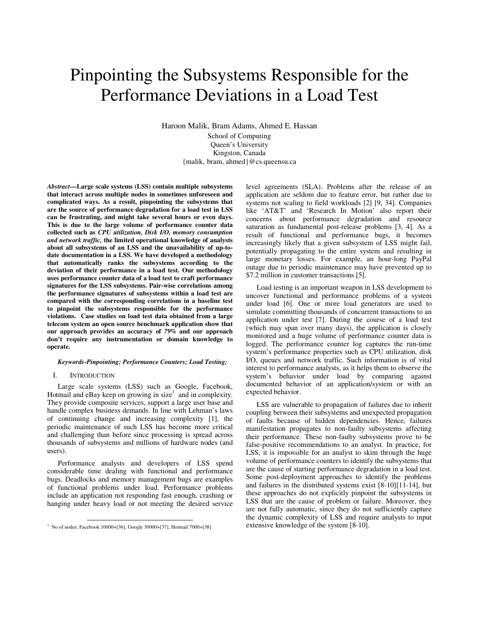# Pinpointing the Subsystems Responsible for the Performance Deviations in a Load Test

Haroon Malik, Bram Adams, Ahmed E. Hassan

School of Computing Queen's University Kingston, Canada {malik, bram, ahmed}@cs.queensu.ca

*Abstract***—Large scale systems (LSS) contain multiple subsystems that interact across multiple nodes in sometimes unforeseen and complicated ways. As a result, pinpointing the subsystems that are the source of performance degradation for a load test in LSS can be frustrating, and might take several hours or even days. This is due to the large volume of performance counter data collected such as** *CPU utilization, Disk I/O, memory consumption and network traffic,* **the limited operational knowledge of analysts about all subsystems of an LSS and the unavailability of up-todate documentation in a LSS. We have developed a methodology that automatically ranks the subsystems according to the deviation of their performance in a load test. Our methodology uses performance counter data of a load test to craft performance signatures for the LSS subsystems. Pair-wise correlations among the performance signatures of subsystems within a load test are compared with the corresponding correlations in a baseline test to pinpoint the subsystems responsible for the performance violations. Case studies on load test data obtained from a large telecom system an open source benchmark application show that our approach provides an accuracy of** *79%* **and our approach don't require any instrumentation or domain knowledge to operate.** 

#### *Keywords-Pinpointing; Performance Counters; Load Testing;*

### I. INTRODUCTION

Large scale systems (LSS) such as Google, Facebook, Hotmail and  $e$ Bay keep on growing in size<sup>1</sup> and in complexity. They provide composite services, support a large user base and handle complex business demands. In line with Lehman's laws of continuing change and increasing complexity [1], the periodic maintenance of such LSS has become more critical and challenging than before since processing is spread across thousands of subsystems and millions of hardware nodes (and users).

Performance analysts and developers of LSS spend considerable time dealing with functional and performance bugs. Deadlocks and memory management bugs are examples of functional problems under load. Performance problems include an application not responding fast enough, crashing or hanging under heavy load or not meeting the desired service

level agreements (SLA). Problems after the release of an application are seldom due to feature error, but rather due to systems not scaling to field workloads [2] [9, 34]. Companies like 'AT&T' and 'Research In Motion' also report their concerns about performance degradation and resource saturation as fundamental post-release problems [3, 4]. As a result of functional and performance bugs, it becomes increasingly likely that a given subsystem of LSS might fail, potentially propagating to the entire system and resulting in large monetary losses. For example, an hour-long PayPal outage due to periodic maintenance may have prevented up to \$7.2 million in customer transactions [5].

Load testing is an important weapon in LSS development to uncover functional and performance problems of a system under load [6]. One or more load generators are used to simulate committing thousands of concurrent transactions to an application under test [7]. During the course of a load test (which may span over many days), the application is closely monitored and a huge volume of performance counter data is logged. The performance counter log captures the run-time system's performance properties such as CPU utilization, disk I/O, queues and network traffic. Such information is of vital interest to performance analysts, as it helps them to observe the system's behavior under load by comparing against documented behavior of an application/system or with an expected behavior.

LSS are vulnerable to propagation of failures due to inherit coupling between their subsystems and unexpected propagation of faults because of hidden dependencies. Hence, failures manifestation propagates to non-faulty subsystems affecting their performance. These non-faulty subsystems prove to be false-positive recommendations to an analyst. In practice, for LSS, it is impossible for an analyst to skim through the huge volume of performance counters to identify the subsystems that are the cause of starting performance degradation in a load test. Some post-deployment approaches to identify the problems and failures in the distributed systems exist [8-10][11-14], but these approaches do not explicitly pinpoint the subsystems in LSS that are the cause of problem or failure. Moreover, they are not fully automatic, since they do not sufficiently capture the dynamic complexity of LSS and require analysts to input extensive knowledge of the system [8-10].

 1 No of nodes: Facebook 10000+[36], Google 30000+[37], Hotmail 7000+[38]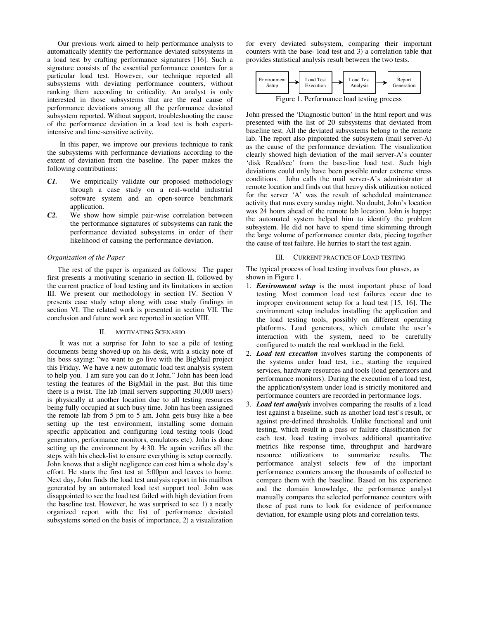Our previous work aimed to help performance analysts to automatically identify the performance deviated subsystems in a load test by crafting performance signatures [16]. Such a signature consists of the essential performance counters for a particular load test. However, our technique reported all subsystems with deviating performance counters, without ranking them according to criticality. An analyst is only interested in those subsystems that are the real cause of performance deviations among all the performance deviated subsystem reported. Without support, troubleshooting the cause of the performance deviation in a load test is both expertintensive and time-sensitive activity.

 In this paper, we improve our previous technique to rank the subsystems with performance deviations according to the extent of deviation from the baseline. The paper makes the following contributions:

- *C1.* We empirically validate our proposed methodology through a case study on a real-world industrial software system and an open-source benchmark application.
- *C2.* We show how simple pair-wise correlation between the performance signatures of subsystems can rank the performance deviated subsystems in order of their likelihood of causing the performance deviation.

### *Organization of the Paper*

The rest of the paper is organized as follows: The paper first presents a motivating scenario in section II, followed by the current practice of load testing and its limitations in section III. We present our methodology in section IV. Section V presents case study setup along with case study findings in section VI. The related work is presented in section VII. The conclusion and future work are reported in section VIII.

### II. MOTIVATING SCENARIO

 It was not a surprise for John to see a pile of testing documents being shoved-up on his desk, with a sticky note of his boss saying: "we want to go live with the BigMail project this Friday. We have a new automatic load test analysis system to help you. I am sure you can do it John." John has been load testing the features of the BigMail in the past. But this time there is a twist. The lab (mail servers supporting 30,000 users) is physically at another location due to all testing resources being fully occupied at such busy time. John has been assigned the remote lab from 5 pm to 5 am. John gets busy like a bee setting up the test environment, installing some domain specific application and configuring load testing tools (load generators, performance monitors, emulators etc). John is done setting up the environment by 4:30. He again verifies all the steps with his check-list to ensure everything is setup correctly. John knows that a slight negligence can cost him a whole day's effort. He starts the first test at 5:00pm and leaves to home. Next day, John finds the load test analysis report in his mailbox generated by an automated load test support tool. John was disappointed to see the load test failed with high deviation from the baseline test. However, he was surprised to see 1) a neatly organized report with the list of performance deviated subsystems sorted on the basis of importance, 2) a visualization for every deviated subsystem, comparing their important counters with the base- load test and 3) a correlation table that provides statistical analysis result between the two tests.



John pressed the 'Diagnostic button' in the html report and was presented with the list of 20 subsystems that deviated from baseline test. All the deviated subsystems belong to the remote lab. The report also pinpointed the subsystem (mail server-A) as the cause of the performance deviation. The visualization clearly showed high deviation of the mail server-A's counter 'disk Read/sec' from the base-line load test. Such high deviations could only have been possible under extreme stress conditions. John calls the mail server-A's administrator at remote location and finds out that heavy disk utilization noticed for the server 'A' was the result of scheduled maintenance activity that runs every sunday night. No doubt, John's location was 24 hours ahead of the remote lab location. John is happy; the automated system helped him to identify the problem subsystem. He did not have to spend time skimming through the large volume of performance counter data, piecing together the cause of test failure. He hurries to start the test again.

#### III. CURRENT PRACTICE OF LOAD TESTING

The typical process of load testing involves four phases, as shown in Figure 1.

- 1. *Environment setup* is the most important phase of load testing. Most common load test failures occur due to improper environment setup for a load test [15, 16]. The environment setup includes installing the application and the load testing tools, possibly on different operating platforms. Load generators, which emulate the user's interaction with the system, need to be carefully configured to match the real workload in the field.
- 2. *Load test execution* involves starting the components of the systems under load test, i.e., starting the required services, hardware resources and tools (load generators and performance monitors). During the execution of a load test, the application/system under load is strictly monitored and performance counters are recorded in performance logs.
- 3. *Load test analysis* involves comparing the results of a load test against a baseline, such as another load test's result, or against pre-defined thresholds. Unlike functional and unit testing, which result in a pass or failure classification for each test, load testing involves additional quantitative metrics like response time, throughput and hardware resource utilizations to summarize results. The performance analyst selects few of the important performance counters among the thousands of collected to compare them with the baseline. Based on his experience and the domain knowledge, the performance analyst manually compares the selected performance counters with those of past runs to look for evidence of performance deviation, for example using plots and correlation tests.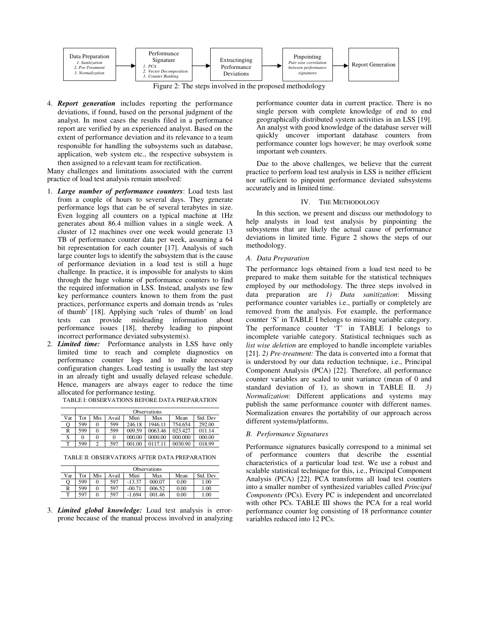

Figure 2: The steps involved in the proposed methodology

4. *Report generation* includes reporting the performance deviations, if found, based on the personal judgment of the analyst. In most cases the results filed in a performance report are verified by an experienced analyst. Based on the extent of performance deviation and its relevance to a team responsible for handling the subsystems such as database, application, web system etc., the respective subsystem is then assigned to a relevant team for rectification.

Many challenges and limitations associated with the current practice of load test analysis remain unsolved:

- 1. *Large number of performance counters*: Load tests last from a couple of hours to several days. They generate performance logs that can be of several terabytes in size. Even logging all counters on a typical machine at 1Hz generates about 86.4 million values in a single week. A cluster of 12 machines over one week would generate 13 TB of performance counter data per week, assuming a 64 bit representation for each counter [17]. Analysis of such large counter logs to identify the subsystem that is the cause of performance deviation in a load test is still a huge challenge. In practice, it is impossible for analysts to skim through the huge volume of performance counters to find the required information in LSS. Instead, analysts use few key performance counters known to them from the past practices, performance experts and domain trends as 'rules of thumb' [18]. Applying such 'rules of thumb' on load tests can provide misleading information about performance issues [18], thereby leading to pinpoint incorrect performance deviated subsystem(s).
- 2. *Limited time:* Performance analysts in LSS have only limited time to reach and complete diagnostics on performance counter logs and to make necessary configuration changes. Load testing is usually the last step in an already tight and usually delayed release schedule. Hence, managers are always eager to reduce the time allocated for performance testing.

|     |     | <b>Observations</b> |       |        |         |         |          |  |  |
|-----|-----|---------------------|-------|--------|---------|---------|----------|--|--|
| Var | Tot | Mis                 | Avail | Mini   | Max     | Mean    | Std. Dev |  |  |
|     | 599 |                     | 599   | 246.18 | 1946.11 | 754.654 | 292.00   |  |  |
| R   | 599 |                     | 599   | 009.59 | 0063.46 | 023.427 | 011.14   |  |  |
| S   |     |                     | 0     | 000.00 | 0000.00 | 000.000 | 000.00   |  |  |
| т   | 599 |                     | 597   | 001.00 |         | 0030.90 | 018.99   |  |  |

TABLE I: OBSERVATIONS BEFORE DATA PREPARATION

TABLE II: OBSERVATIONS AFTER DATA PREPARATION

|     |     |     |       |          | <b>Observations</b> |      |          |
|-----|-----|-----|-------|----------|---------------------|------|----------|
| Var | Tot | Mis | Avail | Mini     | Max                 | Mean | Std. Dev |
| О   | 599 |     | 597   | $-13.37$ | 000.07              | 0.00 | 1.00     |
| R   | 599 |     | 597   | $-00.71$ | 006.52              | 0.00 | 1.00     |
| m   | 597 |     | 597   | $-1.694$ | 001.46              | 0.00 | 1.00     |

3. *Limited global knowledge:* Load test analysis is errorprone because of the manual process involved in analyzing performance counter data in current practice. There is no single person with complete knowledge of end to end geographically distributed system activities in an LSS [19]. An analyst with good knowledge of the database server will quickly uncover important database counters from performance counter logs however; he may overlook some important web counters.

Due to the above challenges, we believe that the current practice to perform load test analysis in LSS is neither efficient nor sufficient to pinpoint performance deviated subsystems accurately and in limited time.

# IV. THE METHODOLOGY

In this section, we present and discuss our methodology to help analysts in load test analysis by pinpointing the subsystems that are likely the actual cause of performance deviations in limited time. Figure 2 shows the steps of our methodology.

## *A. Data Preparation*

The performance logs obtained from a load test need to be prepared to make them suitable for the statistical techniques employed by our methodology. The three steps involved in data preparation are *1) Data sanitization*: Missing performance counter variables i.e., partially or completely are removed from the analysis. For example, the performance counter 'S' in TABLE I belongs to missing variable category. The performance counter 'T' in TABLE I belongs to incomplete variable category. Statistical techniques such as *list wise deletion* are employed to handle incomplete variables [21]. *2) Pre-treatment:* The data is converted into a format that is understood by our data reduction technique, i.e., Principal Component Analysis (PCA) [22]. Therefore, all performance counter variables are scaled to unit variance (mean of 0 and standard deviation of 1), as shown in TABLE II. *3) Normalization*: Different applications and systems may publish the same performance counter with different names. Normalization ensures the portability of our approach across different systems/platforms.

## *B. Performance Signatures*

Performance signatures basically correspond to a minimal set of performance counters that describe the essential characteristics of a particular load test. We use a robust and scalable statistical technique for this, i.e., Principal Component Analysis (PCA) [22]. PCA transforms all load test counters into a smaller number of synthesized variables called *Principal Components* (PCs). Every PC is independent and uncorrelated with other PCs. TABLE III shows the PCA for a real world performance counter log consisting of 18 performance counter variables reduced into 12 PCs.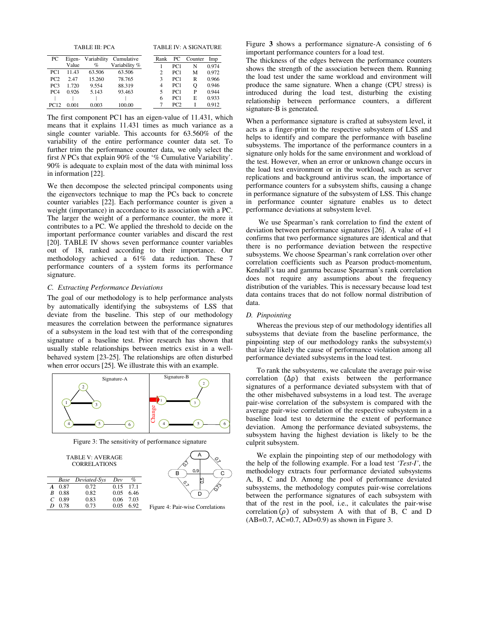|  |  | TABLE III: PCA |  |  |  |  |  |  |
|--|--|----------------|--|--|--|--|--|--|
|--|--|----------------|--|--|--|--|--|--|

| TABLE III: PCA | <b>TABLE IV: A SIGNATURE</b> |
|----------------|------------------------------|
|                |                              |

| PС              | Eigen- | Variability | Cumulative    | Rank | PС              | Counter | Imp   |
|-----------------|--------|-------------|---------------|------|-----------------|---------|-------|
|                 | Value  | $\%$        | Variability % |      | PC1             | N       | 0.974 |
| PC <sub>1</sub> | 11.43  | 63.506      | 63.506        |      | PC1             | М       | 0.972 |
| PC2             | 2.47   | 15.260      | 78.765        | 3    | PC1             | R       | 0.966 |
| PC <sub>3</sub> | 1.720  | 9.554       | 88.319        | 4    | PC1             | о       | 0.946 |
| PC <sub>4</sub> | 0.926  | 5.143       | 93.463        | 5    | PC1             | P       | 0.944 |
|                 |        |             |               | 6    | PC1             | E       | 0.933 |
| <b>PC12</b>     | 0.001  | 0.003       | 100.00        |      | PC <sub>2</sub> |         | 0.912 |

The first component PC1 has an eigen-value of 11.431, which means that it explains 11.431 times as much variance as a single counter variable. This accounts for 63.560% of the variability of the entire performance counter data set. To further trim the performance counter data, we only select the first *N* PCs that explain 90% of the '% Cumulative Variability'. 90% is adequate to explain most of the data with minimal loss in information [22].

We then decompose the selected principal components using the eigenvectors technique to map the PCs back to concrete counter variables [22]. Each performance counter is given a weight (importance) in accordance to its association with a PC. The larger the weight of a performance counter, the more it contributes to a PC. We applied the threshold to decide on the important performance counter variables and discard the rest [20]. TABLE IV shows seven performance counter variables out of 18, ranked according to their importance. Our methodology achieved a 61% data reduction. These 7 performance counters of a system forms its performance signature.

# *C. Extracting Performance Deviations*

The goal of our methodology is to help performance analysts by automatically identifying the subsystems of LSS that deviate from the baseline. This step of our methodology measures the correlation between the performance signatures of a subsystem in the load test with that of the corresponding signature of a baseline test. Prior research has shown that usually stable relationships between metrics exist in a wellbehaved system [23-25]. The relationships are often disturbed when error occurs [25]. We illustrate this with an example.



Figure 3: The sensitivity of performance signature



| B 0.88   | 0.82 | $0.05$ 6.46 |  |
|----------|------|-------------|--|
| $C$ 0.89 | 0.83 | 0.06 7.03   |  |
| D 0.78   | 0.73 | $0.05$ 6.92 |  |



Figure 4: Pair-wise Correlations

Figure **3** shows a performance signature-A consisting of 6 important performance counters for a load test.

The thickness of the edges between the performance counters shows the strength of the association between them. Running the load test under the same workload and environment will produce the same signature. When a change (CPU stress) is introduced during the load test, disturbing the existing relationship between performance counters, a different signature-B is generated.

When a performance signature is crafted at subsystem level, it acts as a finger-print to the respective subsystem of LSS and helps to identify and compare the performance with baseline subsystems. The importance of the performance counters in a signature only holds for the same environment and workload of the test. However, when an error or unknown change occurs in the load test environment or in the workload, such as server replications and background antivirus scan, the importance of performance counters for a subsystem shifts, causing a change in performance signature of the subsystem of LSS. This change in performance counter signature enables us to detect performance deviations at subsystem level.

 We use Spearman's rank correlation to find the extent of deviation between performance signatures [26]. A value of +1 confirms that two performance signatures are identical and that there is no performance deviation between the respective subsystems. We choose Spearman's rank correlation over other correlation coefficients such as Pearson product-momentum, Kendall's tau and gamma because Spearman's rank correlation does not require any assumptions about the frequency distribution of the variables. This is necessary because load test data contains traces that do not follow normal distribution of data.

#### *D. Pinpointing*

Whereas the previous step of our methodology identifies all subsystems that deviate from the baseline performance, the pinpointing step of our methodology ranks the subsystem(s) that is/are likely the cause of performance violation among all performance deviated subsystems in the load test.

To rank the subsystems, we calculate the average pair-wise correlation  $(\Delta \rho)$  that exists between the performance signatures of a performance deviated subsystem with that of the other misbehaved subsystems in a load test. The average pair-wise correlation of the subsystem is compared with the average pair-wise correlation of the respective subsystem in a baseline load test to determine the extent of performance deviation. Among the performance deviated subsystems, the subsystem having the highest deviation is likely to be the culprit subsystem.

We explain the pinpointing step of our methodology with the help of the following example. For a load test *'Test-I'*, the methodology extracts four performance deviated subsystems A, B, C and D. Among the pool of performance deviated subsystems, the methodology computes pair-wise correlations between the performance signatures of each subsystem with that of the rest in the pool, i.e., it calculates the pair-wise correlation  $(\rho)$  of subsystem A with that of B, C and D (AB=0.7, AC=0.7, AD=0.9) as shown in Figure 3.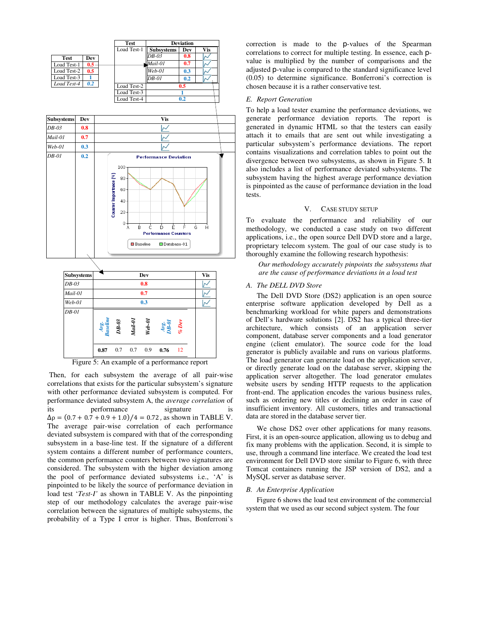



Figure 5: An example of a performance report

 Then, for each subsystem the average of all pair-wise correlations that exists for the particular subsystem's signature with other performance deviated subsystem is computed. For performance deviated subsystem A, the *average correlation* of its performance signature is  $\Delta \rho = (0.7 + 0.7 + 0.9 + 1.0)/4 = 0.72$ , as shown in TABLE V. The average pair-wise correlation of each performance deviated subsystem is compared with that of the corresponding subsystem in a base-line test. If the signature of a different system contains a different number of performance counters, the common performance counters between two signatures are considered. The subsystem with the higher deviation among the pool of performance deviated subsystems i.e., 'A' is pinpointed to be likely the source of performance deviation in load test '*Test-I'* as shown in TABLE V. As the pinpointing step of our methodology calculates the average pair-wise correlation between the signatures of multiple subsystems, the probability of a Type I error is higher. Thus, Bonferroni's

correction is made to the p-values of the Spearman correlations to correct for multiple testing. In essence, each pvalue is multiplied by the number of comparisons and the adjusted p-value is compared to the standard significance level (0.05) to determine significance. Bonferroni's correction is chosen because it is a rather conservative test.

## *E. Report Generation*

To help a load tester examine the performance deviations, we generate performance deviation reports. The report is generated in dynamic HTML so that the testers can easily attach it to emails that are sent out while investigating a particular subsystem's performance deviations. The report contains visualizations and correlation tables to point out the divergence between two subsystems, as shown in Figure 5. It also includes a list of performance deviated subsystems. The subsystem having the highest average performance deviation is pinpointed as the cause of performance deviation in the load tests.

# V. CASE STUDY SETUP

To evaluate the performance and reliability of our methodology, we conducted a case study on two different applications, i.e., the open source Dell DVD store and a large, proprietary telecom system. The goal of our case study is to thoroughly examine the following research hypothesis:

 *Our methodology accurately pinpoints the subsystems that are the cause of performance deviations in a load test* 

# *A. The DELL DVD Store*

The Dell DVD Store (DS2) application is an open source enterprise software application developed by Dell as a benchmarking workload for white papers and demonstrations of Dell's hardware solutions [2]. DS2 has a typical three-tier architecture, which consists of an application server component, database server components and a load generator engine (client emulator). The source code for the load generator is publicly available and runs on various platforms. The load generator can generate load on the application server, or directly generate load on the database server, skipping the application server altogether. The load generator emulates website users by sending HTTP requests to the application front-end. The application encodes the various business rules, such as ordering new titles or declining an order in case of insufficient inventory. All customers, titles and transactional data are stored in the database server tier.

We chose DS2 over other applications for many reasons. First, it is an open-source application, allowing us to debug and fix many problems with the application. Second, it is simple to use, through a command line interface. We created the load test environment for Dell DVD store similar to Figure 6, with three Tomcat containers running the JSP version of DS2, and a MySQL server as database server.

## *B. An Enterprise Application*

Figure 6 shows the load test environment of the commercial system that we used as our second subject system. The four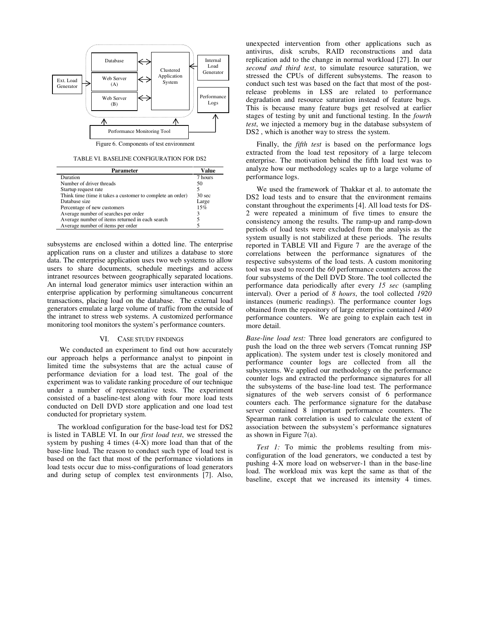

Figure 6. Components of test environment

TABLE VI. BASELINE CONFIGURATION FOR DS2

| Parameter                                                  | Value             |
|------------------------------------------------------------|-------------------|
| Duration                                                   | 7 hours           |
| Number of driver threads                                   | 50                |
| Startup request rate                                       |                   |
| Think time (time it takes a customer to complete an order) | 30 <sub>sec</sub> |
| Database size                                              | Large             |
| Percentage of new customers                                | 15%               |
| Average number of searches per order                       | 3                 |
| Average number of items returned in each search            |                   |
| Average number of items per order                          |                   |

subsystems are enclosed within a dotted line. The enterprise application runs on a cluster and utilizes a database to store data. The enterprise application uses two web systems to allow users to share documents, schedule meetings and access intranet resources between geographically separated locations. An internal load generator mimics user interaction within an enterprise application by performing simultaneous concurrent transactions, placing load on the database. The external load generators emulate a large volume of traffic from the outside of the intranet to stress web systems. A customized performance monitoring tool monitors the system's performance counters.

## VI. CASE STUDY FINDINGS

 We conducted an experiment to find out how accurately our approach helps a performance analyst to pinpoint in limited time the subsystems that are the actual cause of performance deviation for a load test. The goal of the experiment was to validate ranking procedure of our technique under a number of representative tests. The experiment consisted of a baseline-test along with four more load tests conducted on Dell DVD store application and one load test conducted for proprietary system.

The workload configuration for the base-load test for DS2 is listed in TABLE VI. In our *first load test*, we stressed the system by pushing 4 times  $(4-X)$  more load than that of the base-line load. The reason to conduct such type of load test is based on the fact that most of the performance violations in load tests occur due to miss-configurations of load generators and during setup of complex test environments [7]. Also,

unexpected intervention from other applications such as antivirus, disk scrubs, RAID reconstructions and data replication add to the change in normal workload [27]. In our *second and third test*, to simulate resource saturation, we stressed the CPUs of different subsystems. The reason to conduct such test was based on the fact that most of the postrelease problems in LSS are related to performance degradation and resource saturation instead of feature bugs*.* This is because many feature bugs get resolved at earlier stages of testing by unit and functional testing. In the *fourth test*, we injected a memory bug in the database subsystem of DS2 , which is another way to stress the system.

Finally, the *fifth test* is based on the performance logs extracted from the load test repository of a large telecom enterprise. The motivation behind the fifth load test was to analyze how our methodology scales up to a large volume of performance logs.

We used the framework of Thakkar et al. to automate the DS2 load tests and to ensure that the environment remains constant throughout the experiments [4]. All load tests for DS-2 were repeated a minimum of five times to ensure the consistency among the results. The ramp-up and ramp-down periods of load tests were excluded from the analysis as the system usually is not stabilized at these periods. The results reported in TABLE VII and Figure 7 are the average of the correlations between the performance signatures of the respective subsystems of the load tests. A custom monitoring tool was used to record the *60* performance counters across the four subsystems of the Dell DVD Store. The tool collected the performance data periodically after every *15 sec* (sampling interval). Over a period of *8 hours*, the tool collected *1920* instances (numeric readings). The performance counter logs obtained from the repository of large enterprise contained *1400* performance counters. We are going to explain each test in more detail.

*Base-line load test:* Three load generators are configured to push the load on the three web servers (Tomcat running JSP application). The system under test is closely monitored and performance counter logs are collected from all the subsystems. We applied our methodology on the performance counter logs and extracted the performance signatures for all the subsystems of the base-line load test. The performance signatures of the web servers consist of 6 performance counters each. The performance signature for the database server contained 8 important performance counters. The Spearman rank correlation is used to calculate the extent of association between the subsystem's performance signatures as shown in Figure 7(a).

*Test 1:* To mimic the problems resulting from misconfiguration of the load generators, we conducted a test by pushing 4-X more load on webserver-1 than in the base-line load. The workload mix was kept the same as that of the baseline, except that we increased its intensity 4 times.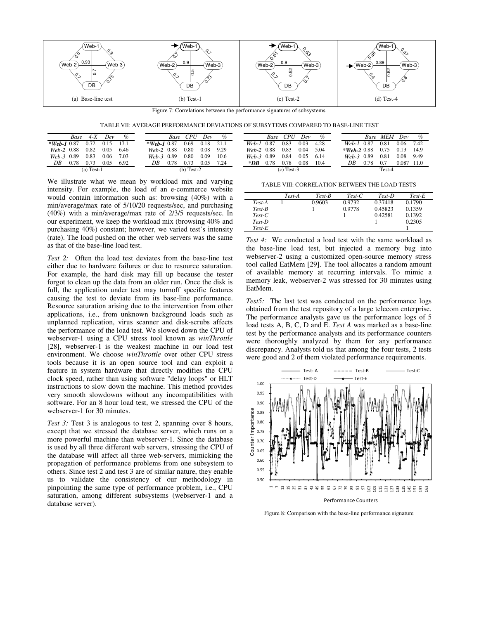

Figure 7: Correlations between the performance signatures of subsystems.

TABLE VII: AVERAGE PERFORMANCE DEVIATIONS OF SUBSYTEMS COMPARED TO BASE-LINE TEST

|                | Base | $4 - X$      | Dev  | $\%$ |                  | Base | CPU          | Dev  | $\%$ |         | Base | $\mathcal{C}\!P U$ | Dev  | %    |                | Base | <b>MEM</b> | Dev      | $\%$ |
|----------------|------|--------------|------|------|------------------|------|--------------|------|------|---------|------|--------------------|------|------|----------------|------|------------|----------|------|
| $*$ Web-1 0.87 |      | 0.72         | 0.15 | 17.1 | $*$ Web-1 0.87   |      | 0.69         | 0.18 | 21.1 | Web-1   | 0.87 | 0.83               | 0.03 | 4.28 | $Web-1$        | 0.87 | 0.81       | 0.06     | 7.42 |
| Web-2 0.88     |      | 0.82         | 0.05 | 6.46 | $Web-2$          | 0.88 | 0.80         | 0.08 | 9.29 | $Web-2$ | 0.88 | 0.83               | 0.04 | 5.04 | $*$ Web-2 0.88 |      | 0.75       |          | 14.9 |
| Web-3 0.89     |      | 0.83         | 0.06 | 7.03 | $W_e h - 3$ 0.89 |      | 0.80         | 0.09 | 10.6 | $Web-3$ | 0.89 | 0.84               | 0.05 | 6.14 | $Web-3$        | 0.89 | 0.81       | $0.08\,$ | 9.49 |
| DΒ             | ).78 | 0.73         | 0.05 | 6.92 | DΒ               | 0.78 | 0.73         | 0.05 | 7.24 | *DB     | 0.78 | 0.78               | 0.08 | 10.4 | DΒ             | 0.78 | 0.7        | 0.087    | 11.0 |
|                |      | $(a)$ Test-1 |      |      |                  |      | $(b)$ Test-2 |      |      |         |      | $(c)$ Test-3       |      |      |                |      | Test-4     |          |      |

We illustrate what we mean by workload mix and varying intensity. For example, the load of an e-commerce website would contain information such as: browsing (40%) with a min/average/max rate of 5/10/20 requests/sec, and purchasing (40%) with a min/average/max rate of 2/3/5 requests/sec. In our experiment, we keep the workload mix (browsing 40% and purchasing 40%) constant; however, we varied test's intensity (rate). The load pushed on the other web servers was the same as that of the base-line load test.

*Test 2:* Often the load test deviates from the base-line test either due to hardware failures or due to resource saturation. For example, the hard disk may fill up because the tester forgot to clean up the data from an older run. Once the disk is full, the application under test may turnoff specific features causing the test to deviate from its base-line performance. Resource saturation arising due to the intervention from other applications, i.e., from unknown background loads such as unplanned replication, virus scanner and disk-scrubs affects the performance of the load test. We slowed down the CPU of webserver-1 using a CPU stress tool known as *winThrottle*  [28], webserver-1 is the weakest machine in our load test environment. We choose *winThrottle* over other CPU stress tools because it is an open source tool and can exploit a feature in system hardware that directly modifies the CPU clock speed, rather than using software "delay loops" or HLT instructions to slow down the machine. This method provides very smooth slowdowns without any incompatibilities with software. For an 8 hour load test, we stressed the CPU of the webserver-1 for 30 minutes.

*Test 3:* Test 3 is analogous to test 2, spanning over 8 hours, except that we stressed the database server, which runs on a more powerful machine than webserver-1. Since the database is used by all three different web servers, stressing the CPU of the database will affect all three web-servers, mimicking the propagation of performance problems from one subsystem to others. Since test 2 and test 3 are of similar nature, they enable us to validate the consistency of our methodology in pinpointing the same type of performance problem, i.e., CPU saturation, among different subsystems (webserver-1 and a database server).

TABLE VIII: CORRELATION BETWEEN THE LOAD TESTS

|          | Test-A | Test-B | $Test-C$ | Test-D  | $Test-E$ |
|----------|--------|--------|----------|---------|----------|
| Test-A   |        | 0.9603 | 0.9732   | 0.37418 | 0.1790   |
| Test-B   |        |        | 0.9778   | 0.45823 | 0.1359   |
| $Test-C$ |        |        |          | 0.42581 | 0.1392   |
| $Test-D$ |        |        |          |         | 0.2305   |
| $Test-E$ |        |        |          |         |          |

*Test 4:* We conducted a load test with the same workload as the base-line load test, but injected a memory bug into webserver-2 using a customized open-source memory stress tool called EatMem [29]. The tool allocates a random amount of available memory at recurring intervals. To mimic a memory leak, webserver-2 was stressed for 30 minutes using EatMem.

*Test5:* The last test was conducted on the performance logs obtained from the test repository of a large telecom enterprise. The performance analysts gave us the performance logs of 5 load tests A, B, C, D and E. *Test A* was marked as a base-line test by the performance analysts and its performance counters were thoroughly analyzed by them for any performance discrepancy. Analysts told us that among the four tests, 2 tests were good and 2 of them violated performance requirements.



Figure 8: Comparison with the base-line performance signature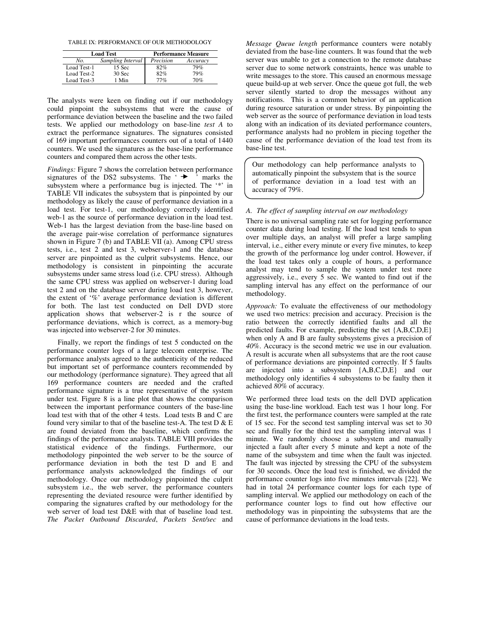| TABLE IX: PERFORMANCE OF OUR METHODOLOGY |  |
|------------------------------------------|--|
|------------------------------------------|--|

|             | <b>Load Test</b>  | <b>Performance Measure</b> |          |  |  |  |
|-------------|-------------------|----------------------------|----------|--|--|--|
| No.         | Sampling Interval | Precision                  | Accuracy |  |  |  |
| Load Test-1 | $15$ Sec          | 82%                        | 79%      |  |  |  |
| Load Test-2 | $30$ Sec          | 82%                        | 79%      |  |  |  |
| Load Test-3 | 1 Min             | 77%                        | 70%      |  |  |  |

The analysts were keen on finding out if our methodology could pinpoint the subsystems that were the cause of performance deviation between the baseline and the two failed tests. We applied our methodology on base-line *test A* to extract the performance signatures. The signatures consisted of 169 important performances counters out of a total of 1440 counters. We used the signatures as the base-line performance counters and compared them across the other tests.

*Findings:* Figure 7 shows the correlation between performance signatures of the DS2 subsystems. The  $\rightarrow$   $\rightarrow$  marks the subsystem where a performance bug is injected. The '\*' in TABLE VII indicates the subsystem that is pinpointed by our methodology as likely the cause of performance deviation in a load test. For test-1, our methodology correctly identified web-1 as the source of performance deviation in the load test. Web-1 has the largest deviation from the base-line based on the average pair-wise correlation of performance signatures shown in Figure 7 (b) and TABLE VII (a). Among CPU stress tests, i.e., test 2 and test 3, webserver-1 and the database server are pinpointed as the culprit subsystems. Hence, our methodology is consistent in pinpointing the accurate subsystems under same stress load (i.e. CPU stress). Although the same CPU stress was applied on webserver-1 during load test 2 and on the database server during load test 3, however, the extent of '%' average performance deviation is different for both. The last test conducted on Dell DVD store application shows that webserver-2 is r the source of performance deviations, which is correct, as a memory-bug was injected into webserver-2 for 30 minutes.

Finally, we report the findings of test 5 conducted on the performance counter logs of a large telecom enterprise. The performance analysts agreed to the authenticity of the reduced but important set of performance counters recommended by our methodology (performance signature). They agreed that all 169 performance counters are needed and the crafted performance signature is a true representative of the system under test. Figure 8 is a line plot that shows the comparison between the important performance counters of the base-line load test with that of the other 4 tests. Load tests B and C are found very similar to that of the baseline test-A. The test  $D & E$ are found deviated from the baseline, which confirms the findings of the performance analysts. TABLE VIII provides the statistical evidence of the findings. Furthermore, our methodology pinpointed the web server to be the source of performance deviation in both the test D and E and performance analysts acknowledged the findings of our methodology. Once our methodology pinpointed the culprit subsystem i.e., the web server, the performance counters representing the deviated resource were further identified by comparing the signatures crafted by our methodology for the web server of load test D&E with that of baseline load test. *The Packet Outbound Discarded*, *Packets Sent/sec* and

*Message Queue length* performance counters were notably deviated from the base-line counters. It was found that the web server was unable to get a connection to the remote database server due to some network constraints, hence was unable to write messages to the store. This caused an enormous message queue build-up at web server. Once the queue got full, the web server silently started to drop the messages without any notifications. This is a common behavior of an application during resource saturation or under stress. By pinpointing the web server as the source of performance deviation in load tests along with an indication of its deviated performance counters, performance analysts had no problem in piecing together the cause of the performance deviation of the load test from its base-line test.

Our methodology can help performance analysts to automatically pinpoint the subsystem that is the source of performance deviation in a load test with an accuracy of 79%.

# *A. The effect of sampling interval on our methodology*

There is no universal sampling rate set for logging performance counter data during load testing. If the load test tends to span over multiple days, an analyst will prefer a large sampling interval, i.e., either every minute or every five minutes, to keep the growth of the performance log under control. However, if the load test takes only a couple of hours, a performance analyst may tend to sample the system under test more aggressively, i.e., every 5 sec. We wanted to find out if the sampling interval has any effect on the performance of our methodology.

*Approach:* To evaluate the effectiveness of our methodology we used two metrics: precision and accuracy. Precision is the ratio between the correctly identified faults and all the predicted faults. For example, predicting the set {A,B,C,D,E} when only A and B are faulty subsystems gives a precision of *40%*. Accuracy is the second metric we use in our evaluation. A result is accurate when all subsystems that are the root cause of performance deviations are pinpointed correctly. If 5 faults are injected into a subsystem {A,B,C,D,E} and our methodology only identifies 4 subsystems to be faulty then it achieved *80%* of accuracy.

We performed three load tests on the dell DVD application using the base-line workload. Each test was 1 hour long. For the first test, the performance counters were sampled at the rate of 15 sec. For the second test sampling interval was set to 30 sec and finally for the third test the sampling interval was 1 minute. We randomly choose a subsystem and manually injected a fault after every 5 minute and kept a note of the name of the subsystem and time when the fault was injected. The fault was injected by stressing the CPU of the subsystem for 30 seconds. Once the load test is finished, we divided the performance counter logs into five minutes intervals [22]. We had in total 24 performance counter logs for each type of sampling interval. We applied our methodology on each of the performance counter logs to find out how effective our methodology was in pinpointing the subsystems that are the cause of performance deviations in the load tests.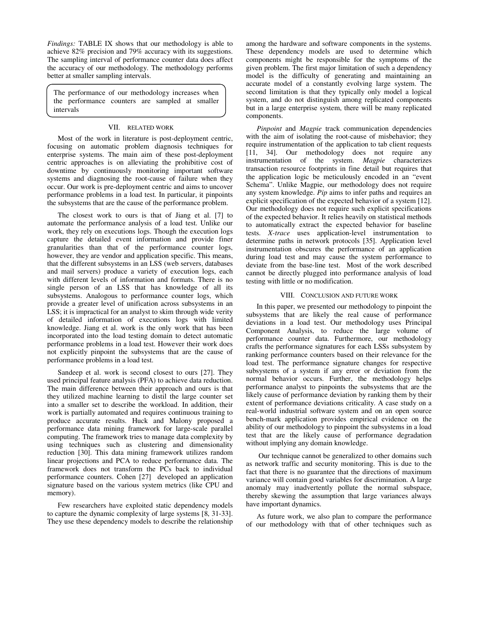*Findings:* TABLE IX shows that our methodology is able to achieve 82% precision and 79% accuracy with its suggestions. The sampling interval of performance counter data does affect the accuracy of our methodology. The methodology performs better at smaller sampling intervals.

The performance of our methodology increases when the performance counters are sampled at smaller intervals

# VII. RELATED WORK

Most of the work in literature is post-deployment centric, focusing on automatic problem diagnosis techniques for enterprise systems. The main aim of these post-deployment centric approaches is on alleviating the prohibitive cost of downtime by continuously monitoring important software systems and diagnosing the root-cause of failure when they occur. Our work is pre-deployment centric and aims to uncover performance problems in a load test. In particular, it pinpoints the subsystems that are the cause of the performance problem.

The closest work to ours is that of Jiang et al. [7] to automate the performance analysis of a load test. Unlike our work, they rely on executions logs. Though the execution logs capture the detailed event information and provide finer granularities than that of the performance counter logs, however, they are vendor and application specific. This means, that the different subsystems in an LSS (web servers, databases and mail servers) produce a variety of execution logs, each with different levels of information and formats. There is no single person of an LSS that has knowledge of all its subsystems. Analogous to performance counter logs, which provide a greater level of unification across subsystems in an LSS; it is impractical for an analyst to skim through wide verity of detailed information of executions logs with limited knowledge. Jiang et al. work is the only work that has been incorporated into the load testing domain to detect automatic performance problems in a load test. However their work does not explicitly pinpoint the subsystems that are the cause of performance problems in a load test.

Sandeep et al. work is second closest to ours [27]. They used principal feature analysis (PFA) to achieve data reduction. The main difference between their approach and ours is that they utilized machine learning to distil the large counter set into a smaller set to describe the workload. In addition, their work is partially automated and requires continuous training to produce accurate results. Huck and Malony proposed a performance data mining framework for large-scale parallel computing. The framework tries to manage data complexity by using techniques such as clustering and dimensionality reduction [30]. This data mining framework utilizes random linear projections and PCA to reduce performance data. The framework does not transform the PCs back to individual performance counters. Cohen [27] developed an application signature based on the various system metrics (like CPU and memory).

Few researchers have exploited static dependency models to capture the dynamic complexity of large systems [8, 31-33]. They use these dependency models to describe the relationship among the hardware and software components in the systems. These dependency models are used to determine which components might be responsible for the symptoms of the given problem. The first major limitation of such a dependency model is the difficulty of generating and maintaining an accurate model of a constantly evolving large system. The second limitation is that they typically only model a logical system, and do not distinguish among replicated components but in a large enterprise system, there will be many replicated components.

*Pinpoint* and *Magpie* track communication dependencies with the aim of isolating the root-cause of misbehavior; they require instrumentation of the application to tab client requests [11, 34]. Our methodology does not require any instrumentation of the system. *Magpie* characterizes transaction resource footprints in fine detail but requires that the application logic be meticulously encoded in an "event Schema". Unlike Magpie, our methodology does not require any system knowledge. *Pip* aims to infer paths and requires an explicit specification of the expected behavior of a system [12]. Our methodology does not require such explicit specifications of the expected behavior. It relies heavily on statistical methods to automatically extract the expected behavior for baseline tests. *X-trace* uses application-level instrumentation to determine paths in network protocols [35]. Application level instrumentation obscures the performance of an application during load test and may cause the system performance to deviate from the base-line test. Most of the work described cannot be directly plugged into performance analysis of load testing with little or no modification.

## VIII. CONCLUSION AND FUTURE WORK

In this paper, we presented our methodology to pinpoint the subsystems that are likely the real cause of performance deviations in a load test. Our methodology uses Principal Component Analysis, to reduce the large volume of performance counter data. Furthermore, our methodology crafts the performance signatures for each LSSs subsystem by ranking performance counters based on their relevance for the load test. The performance signature changes for respective subsystems of a system if any error or deviation from the normal behavior occurs. Further, the methodology helps performance analyst to pinpoints the subsystems that are the likely cause of performance deviation by ranking them by their extent of performance deviations criticality. A case study on a real-world industrial software system and on an open source bench-mark application provides empirical evidence on the ability of our methodology to pinpoint the subsystems in a load test that are the likely cause of performance degradation without implying any domain knowledge.

 Our technique cannot be generalized to other domains such as network traffic and security monitoring. This is due to the fact that there is no guarantee that the directions of maximum variance will contain good variables for discrimination. A large anomaly may inadvertently pollute the normal subspace, thereby skewing the assumption that large variances always have important dynamics.

As future work, we also plan to compare the performance of our methodology with that of other techniques such as